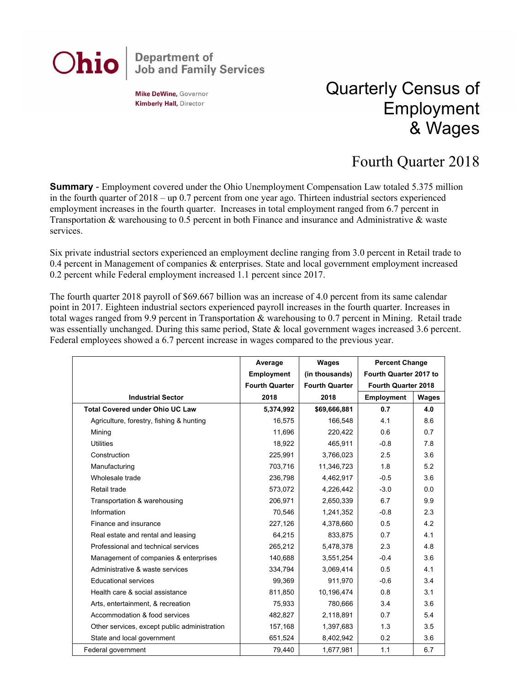## **Department of<br>Job and Family Services** Ohio

**Mike DeWine, Governor Kimberly Hall, Director** 

## Quarterly Census of Employment & Wages

## Fourth Quarter 2018

**Summary** - Employment covered under the Ohio Unemployment Compensation Law totaled 5.375 million in the fourth quarter of 2018 – up 0.7 percent from one year ago. Thirteen industrial sectors experienced employment increases in the fourth quarter. Increases in total employment ranged from 6.7 percent in Transportation & warehousing to 0.5 percent in both Finance and insurance and Administrative & waste services.

Six private industrial sectors experienced an employment decline ranging from 3.0 percent in Retail trade to 0.4 percent in Management of companies & enterprises. State and local government employment increased 0.2 percent while Federal employment increased 1.1 percent since 2017.

The fourth quarter 2018 payroll of \$69.667 billion was an increase of 4.0 percent from its same calendar point in 2017. Eighteen industrial sectors experienced payroll increases in the fourth quarter. Increases in total wages ranged from 9.9 percent in Transportation & warehousing to 0.7 percent in Mining. Retail trade was essentially unchanged. During this same period, State & local government wages increased 3.6 percent. Federal employees showed a 6.7 percent increase in wages compared to the previous year.

|                                              | Average               | Wages                 | <b>Percent Change</b>  |       |
|----------------------------------------------|-----------------------|-----------------------|------------------------|-------|
|                                              | <b>Employment</b>     | (in thousands)        | Fourth Quarter 2017 to |       |
|                                              | <b>Fourth Quarter</b> | <b>Fourth Quarter</b> | Fourth Quarter 2018    |       |
| <b>Industrial Sector</b>                     | 2018                  | 2018                  | <b>Employment</b>      | Wages |
| <b>Total Covered under Ohio UC Law</b>       | 5,374,992             | \$69,666,881          | 0.7                    | 4.0   |
| Agriculture, forestry, fishing & hunting     | 16.575                | 166.548               | 4.1                    | 8.6   |
| Mining                                       | 11,696                | 220,422               | 0.6                    | 0.7   |
| <b>Utilities</b>                             | 18,922                | 465,911               | $-0.8$                 | 7.8   |
| Construction                                 | 225,991               | 3,766,023             | 2.5                    | 3.6   |
| Manufacturing                                | 703,716               | 11,346,723            | 1.8                    | 5.2   |
| Wholesale trade                              | 236,798               | 4,462,917             | $-0.5$                 | 3.6   |
| Retail trade                                 | 573,072               | 4,226,442             | $-3.0$                 | 0.0   |
| Transportation & warehousing                 | 206,971               | 2,650,339             | 6.7                    | 9.9   |
| Information                                  | 70,546                | 1,241,352             | $-0.8$                 | 2.3   |
| Finance and insurance                        | 227,126               | 4,378,660             | 0.5                    | 4.2   |
| Real estate and rental and leasing           | 64,215                | 833,875               | 0.7                    | 4.1   |
| Professional and technical services          | 265,212               | 5,478,378             | 2.3                    | 4.8   |
| Management of companies & enterprises        | 140,688               | 3,551,254             | $-0.4$                 | 3.6   |
| Administrative & waste services              | 334,794               | 3,069,414             | 0.5                    | 4.1   |
| <b>Educational services</b>                  | 99,369                | 911,970               | $-0.6$                 | 3.4   |
| Health care & social assistance              | 811,850               | 10,196,474            | 0.8                    | 3.1   |
| Arts, entertainment, & recreation            | 75,933                | 780,666               | 3.4                    | 3.6   |
| Accommodation & food services                | 482.827               | 2,118,891             | 0.7                    | 5.4   |
| Other services, except public administration | 157,168               | 1,397,683             | 1.3                    | 3.5   |
| State and local government                   | 651,524               | 8,402,942             | 0.2                    | 3.6   |
| Federal government                           | 79,440                | 1,677,981             | 1.1                    | 6.7   |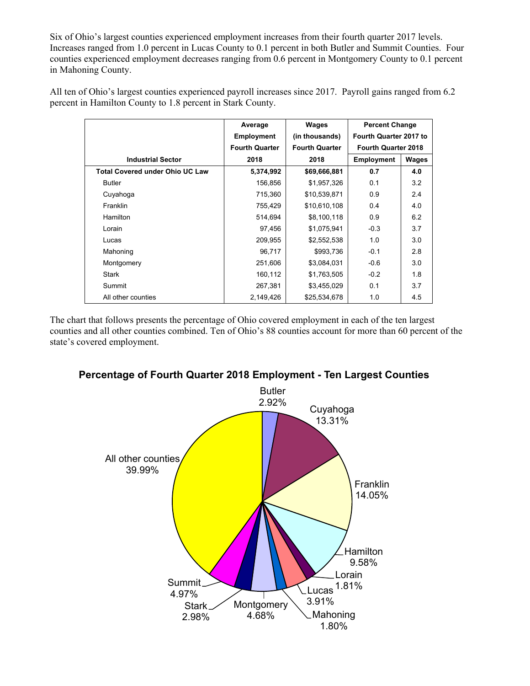Six of Ohio's largest counties experienced employment increases from their fourth quarter 2017 levels. Increases ranged from 1.0 percent in Lucas County to 0.1 percent in both Butler and Summit Counties. Four counties experienced employment decreases ranging from 0.6 percent in Montgomery County to 0.1 percent in Mahoning County.

All ten of Ohio's largest counties experienced payroll increases since 2017. Payroll gains ranged from 6.2 percent in Hamilton County to 1.8 percent in Stark County.

|                                        | Average               | Wages                 | <b>Percent Change</b>      |       |
|----------------------------------------|-----------------------|-----------------------|----------------------------|-------|
|                                        | <b>Employment</b>     | (in thousands)        | Fourth Quarter 2017 to     |       |
|                                        | <b>Fourth Quarter</b> | <b>Fourth Quarter</b> | <b>Fourth Quarter 2018</b> |       |
| <b>Industrial Sector</b>               | 2018                  | 2018                  | <b>Employment</b>          | Wages |
| <b>Total Covered under Ohio UC Law</b> | 5,374,992             | \$69,666,881          | 0.7                        | 4.0   |
| <b>Butler</b>                          | 156,856               | \$1,957,326           | 0.1                        | 3.2   |
| Cuyahoga                               | 715,360               | \$10,539,871          | 0.9                        | 2.4   |
| Franklin                               | 755,429               | \$10,610,108          | 0.4                        | 4.0   |
| Hamilton                               | 514,694               | \$8,100,118           | 0.9                        | 6.2   |
| Lorain                                 | 97,456                | \$1,075,941           | $-0.3$                     | 3.7   |
| Lucas                                  | 209,955               | \$2,552,538           | 1.0                        | 3.0   |
| Mahoning                               | 96,717                | \$993,736             | $-0.1$                     | 2.8   |
| Montgomery                             | 251,606               | \$3,084,031           | $-0.6$                     | 3.0   |
| Stark                                  | 160,112               | \$1,763,505           | $-0.2$                     | 1.8   |
| Summit                                 | 267,381               | \$3,455,029           | 0.1                        | 3.7   |
| All other counties                     | 2,149,426             | \$25,534,678          | 1.0                        | 4.5   |

The chart that follows presents the percentage of Ohio covered employment in each of the ten largest counties and all other counties combined. Ten of Ohio's 88 counties account for more than 60 percent of the state's covered employment.



## **Percentage of Fourth Quarter 2018 Employment - Ten Largest Counties**